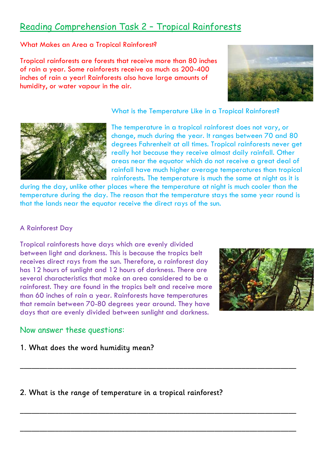# Reading Comprehension Task 2 – Tropical Rainforests

What Makes an Area a Tropical Rainforest?

Tropical rainforests are forests that receive more than 80 inches of rain a year. Some rainforests receive as much as 200-400 inches of rain a year! Rainforests also have large amounts of humidity, or water vapour in the air.



What is the Temperature Like in a Tropical Rainforest?



The temperature in a tropical rainforest does not vary, or change, much during the year. It ranges between 70 and 80 degrees Fahrenheit at all times. Tropical rainforests never get really hot because they receive almost daily rainfall. Other areas near the equator which do not receive a great deal of rainfall have much higher average temperatures than tropical rainforests. The temperature is much the same at night as it is

during the day, unlike other places where the temperature at night is much cooler than the temperature during the day. The reason that the temperature stays the same year round is that the lands near the equator receive the direct rays of the sun.

**\_\_\_\_\_\_\_\_\_\_\_\_\_\_\_\_\_\_\_\_\_\_\_\_\_\_\_\_\_\_\_\_\_\_\_\_\_\_\_\_\_\_\_\_\_\_\_\_\_\_\_\_\_\_\_\_\_\_\_\_\_\_\_\_\_\_\_\_\_\_\_**

**\_\_\_\_\_\_\_\_\_\_\_\_\_\_\_\_\_\_\_\_\_\_\_\_\_\_\_\_\_\_\_\_\_\_\_\_\_\_\_\_\_\_\_\_\_\_\_\_\_\_\_\_\_\_\_\_\_\_\_\_\_\_\_\_\_\_\_\_\_\_\_** 

**\_\_\_\_\_\_\_\_\_\_\_\_\_\_\_\_\_\_\_\_\_\_\_\_\_\_\_\_\_\_\_\_\_\_\_\_\_\_\_\_\_\_\_\_\_\_\_\_\_\_\_\_\_\_\_\_\_\_\_\_\_\_\_\_\_\_\_\_\_\_\_**

#### A Rainforest Day

Tropical rainforests have days which are evenly divided between light and darkness. This is because the tropics belt receives direct rays from the sun. Therefore, a rainforest day has 12 hours of sunlight and 12 hours of darkness. There are several characteristics that make an area considered to be a rainforest. They are found in the tropics belt and receive more than 60 inches of rain a year. Rainforests have temperatures that remain between 70-80 degrees year around. They have days that are evenly divided between sunlight and darkness.



## Now answer these questions:

### **1. What does the word humidity mean?**

# **2. What is the range of temperature in a tropical rainforest?**